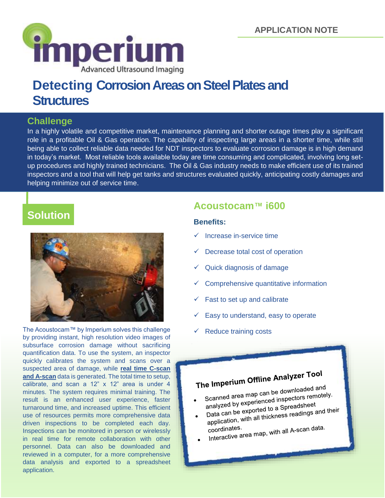

# **Structures**

### **Challenge**

In a highly volatile and competitive market, maintenance planning and shorter outage times play a significant role in a profitable Oil & Gas operation. The capability of inspecting large areas in a shorter time, while still being able to collect reliable data needed for NDT inspectors to evaluate corrosion damage is in high demand in today's market. Most reliable tools available today are time consuming and complicated, involving long setup procedures and highly trained technicians. The Oil & Gas industry needs to make efficient use of its trained inspectors and a tool that will help get tanks and structures evaluated quickly, anticipating costly damages and helping minimize out of service time.

## **Solution**



The Acoustocam™ by Imperium solves this challenge by providing instant, high resolution video images of subsurface corrosion damage without sacrificing quantification data. To use the system, an inspector quickly calibrates the system and scans over a suspected area of damage, while **real time C-scan and A-scan** data is generated. The total time to setup, calibrate, and scan a 12" x 12" area is under 4 minutes. The system requires minimal training. The result is an enhanced user experience, faster turnaround time, and increased uptime. This efficient use of resources permits more comprehensive data driven inspections to be completed each day. Inspections can be monitored in person or wirelessly in real time for remote collaboration with other personnel. Data can also be downloaded and reviewed in a computer, for a more comprehensive data analysis and exported to a spreadsheet application.

### **Acoustocam™ i600**

#### **Benefits:**

- $\checkmark$  Increase in-service time
- Decrease total cost of operation
- $\checkmark$  Quick diagnosis of damage
- Comprehensive quantitative information
- Fast to set up and calibrate
- Easy to understand, easy to operate
- Reduce training costs

## The Imperium Offline Analyzer Tool

Scanned area map can be downloaded and<br>Scanned area map can be downloaded and Scanned area map can be downloaded and<br>analyzed by experienced inspectors remotely. analyzed by experienced inspected<br>Data can be exported to a Spreadsheet<br>Data can be exported to a Spreadings a analyzed by experienced to a Spreadsheet<br>Data can be exported to a Spreadings and their<br>application, with all thickness readings and their

coordinates.<br>Interactive area map, with all A-scan data.